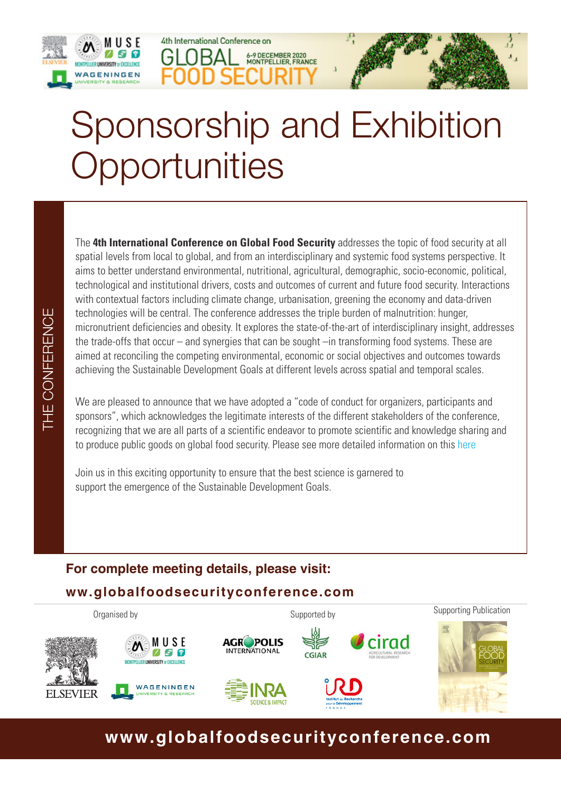



# Sponsorship and Exhibition **Opportunities**

6-9 DECEMBER 2020<br>MONTPELLIER, FRANCE

4th International Conference on

The **4th International Conference on Global Food Security** addresses the topic of food security at all spatial levels from local to global, and from an interdisciplinary and systemic food systems perspective. It aims to better understand environmental, nutritional, agricultural, demographic, socio-economic, political, technological and institutional drivers, costs and outcomes of current and future food security. Interactions with contextual factors including climate change, urbanisation, greening the economy and data-driven technologies will be central. The conference addresses the triple burden of malnutrition: hunger, micronutrient deficiencies and obesity. It explores the state-of-the-art of interdisciplinary insight, addresses the trade-offs that occur – and synergies that can be sought –in transforming food systems. These are aimed at reconciling the competing environmental, economic or social objectives and outcomes towards achieving the Sustainable Development Goals at different levels across spatial and temporal scales.

We are pleased to announce that we have adopted a "code of conduct for organizers, participants and sponsors", which acknowledges the legitimate interests of the different stakeholders of the conference, recognizing that we are all parts of a scientific endeavor to promote scientific and knowledge sharing and to produce public goods on global food security. Please see more detailed information on this [here](http://www.globalfoodsecurityconference.com/resources/updateable/pdf/GFS2020_Code%20of%20Conduct.pdf)

Join us in this exciting opportunity to ensure that the best science is garnered to support the emergence of the Sustainable Development Goals.

#### **For complete meeting details, please visit: ww.globalfoodsecurityconference.com**



### **www.globalfoodsecurityconference.com**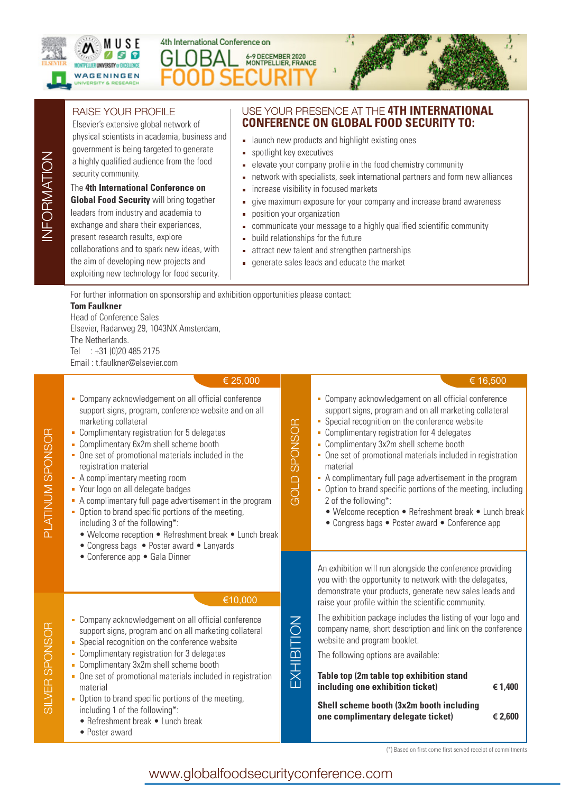

INFORMATION

INFORMATION

SILVER SPONSOR

SILVER SPONSOR

PLATINUM SPONSOR

**PLATINUM SPONSOR** 

## 4th International Conference on 6-9 DECEMBER 2020<br>MONTPELLIER, FRANCE



#### RAISE YOUR PROFILE

Elsevier's extensive global network of physical scientists in academia, business and government is being targeted to generate a highly qualified audience from the food security community.

#### The **4th International Conference on**

**Global Food Security** will bring together leaders from industry and academia to exchange and share their experiences, present research results, explore collaborations and to spark new ideas, with the aim of developing new projects and exploiting new technology for food security.

#### USE YOUR PRESENCE AT THE **4TH INTERNATIONAL CONFERENCE ON GLOBAL FOOD SECURITY TO:**

- **Example 1** aunch new products and highlight existing ones
- spotlight key executives
- elevate your company profile in the food chemistry community
- network with specialists, seek international partners and form new alliances
- increase visibility in focused markets  $\hat{\mathbf{r}}$
- give maximum exposure for your company and increase brand awareness
- position your organization ň.
- $\overline{\mathbf{r}}$ communicate your message to a highly qualified scientific community
- build relationships for the future  $\blacksquare$
- attract new talent and strengthen partnerships  $\blacksquare$
- generate sales leads and educate the market  $\blacksquare$

For further information on sponsorship and exhibition opportunities please contact:

#### **Tom Faulkner**

Head of Conference Sales Elsevier, Radarweg 29, 1043NX Amsterdam, The Netherlands. Tel : +31 (0)20 485 2175 Email : t.faulkner@elsevier.com

| € 25,000                                                                                                                                                                                                                                                                                                                                                                                                                                                                                                                                                                                                                                       |                     | € 16,500                                                                                                                                                                                                                                                                                                                                                                                                                                                                                                                                                                                             |
|------------------------------------------------------------------------------------------------------------------------------------------------------------------------------------------------------------------------------------------------------------------------------------------------------------------------------------------------------------------------------------------------------------------------------------------------------------------------------------------------------------------------------------------------------------------------------------------------------------------------------------------------|---------------------|------------------------------------------------------------------------------------------------------------------------------------------------------------------------------------------------------------------------------------------------------------------------------------------------------------------------------------------------------------------------------------------------------------------------------------------------------------------------------------------------------------------------------------------------------------------------------------------------------|
| • Company acknowledgement on all official conference<br>support signs, program, conference website and on all<br>marketing collateral<br>• Complimentary registration for 5 delegates<br>- Complimentary 6x2m shell scheme booth<br>• One set of promotional materials included in the<br>registration material<br>• A complimentary meeting room<br>Your logo on all delegate badges<br>A complimentary full page advertisement in the program<br>• Option to brand specific portions of the meeting,<br>including 3 of the following*:<br>• Welcome reception • Refreshment break • Lunch break<br>• Congress bags • Poster award • Lanyards | <b>GOLD SPONSOR</b> | • Company acknowledgement on all official conference<br>support signs, program and on all marketing collateral<br>Special recognition on the conference website<br>• Complimentary registration for 4 delegates<br>- Complimentary 3x2m shell scheme booth<br>• One set of promotional materials included in registration<br>material<br>A complimentary full page advertisement in the program<br>• Option to brand specific portions of the meeting, including<br>2 of the following*:<br>• Welcome reception • Refreshment break • Lunch break<br>• Congress bags • Poster award • Conference app |
| • Conference app • Gala Dinner                                                                                                                                                                                                                                                                                                                                                                                                                                                                                                                                                                                                                 |                     | An exhibition will run alongside the conference providing<br>you with the opportunity to network with the delegates,<br>demonstrate your products, generate new sales leads and                                                                                                                                                                                                                                                                                                                                                                                                                      |
| €10,000<br>• Company acknowledgement on all official conference<br>support signs, program and on all marketing collateral                                                                                                                                                                                                                                                                                                                                                                                                                                                                                                                      | EXHIBITION          | raise your profile within the scientific community.<br>The exhibition package includes the listing of your logo and<br>company name, short description and link on the conference                                                                                                                                                                                                                                                                                                                                                                                                                    |
| Special recognition on the conference website<br>Complimentary registration for 3 delegates                                                                                                                                                                                                                                                                                                                                                                                                                                                                                                                                                    |                     | website and program booklet.<br>The following options are available:                                                                                                                                                                                                                                                                                                                                                                                                                                                                                                                                 |
| Complimentary 3x2m shell scheme booth                                                                                                                                                                                                                                                                                                                                                                                                                                                                                                                                                                                                          |                     |                                                                                                                                                                                                                                                                                                                                                                                                                                                                                                                                                                                                      |
| • One set of promotional materials included in registration<br>material                                                                                                                                                                                                                                                                                                                                                                                                                                                                                                                                                                        |                     | Table top (2m table top exhibition stand<br>including one exhibition ticket)<br>€ 1,400                                                                                                                                                                                                                                                                                                                                                                                                                                                                                                              |
| • Option to brand specific portions of the meeting,<br>including 1 of the following*:<br>• Refreshment break • Lunch break<br>• Poster award                                                                                                                                                                                                                                                                                                                                                                                                                                                                                                   |                     | Shell scheme booth (3x2m booth including<br>one complimentary delegate ticket)<br>€ 2,600                                                                                                                                                                                                                                                                                                                                                                                                                                                                                                            |

(\*) Based on first come first served receipt of commitments

www.globalfoodsecurityconference.com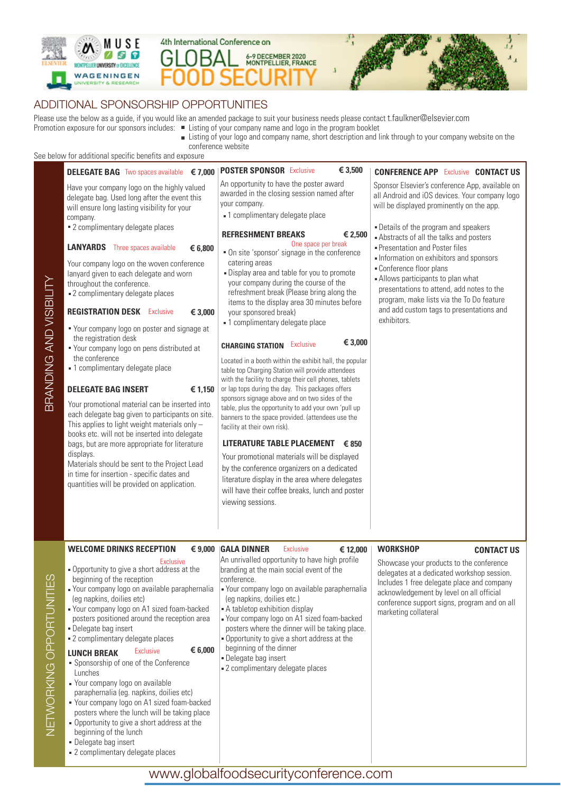





#### ADDITIONAL SPONSORSHIP OPPORTUNITIES

Please use the below as a guide, if you would like an amended package to suit your business needs please contact t.faulkner@elsevier.com Promotion exposure for our sponsors includes: Listing of your company name and logo in the program booklet

Listing of your logo and company name, short description and link through to your company website on the conference website

See below for additional specific benefits and exposure

|                          | Delow for additional specific perients and exposure<br><b>DELEGATE BAG</b> Two spaces available € 7,000<br>Have your company logo on the highly valued<br>delegate bag. Used long after the event this<br>will ensure long lasting visibility for your<br>company.<br>" 2 complimentary delegate places<br><b>LANYARDS</b> Three spaces available<br>€ 6,800<br>Your company logo on the woven conference<br>lanyard given to each delegate and worn<br>throughout the conference.<br>■ 2 complimentary delegate places                                                                                                                                                                                                                                                                                        | <b>POSTER SPONSOR</b> Exclusive<br>€ 3,500<br>An opportunity to have the poster award<br>awarded in the closing session named after<br>your company.<br>- 1 complimentary delegate place<br><b>REFRESHMENT BREAKS</b><br>€ 2,500<br>One space per break<br>" On site 'sponsor' signage in the conference<br>catering areas<br>. Display area and table for you to promote<br>your company during the course of the<br>refreshment break (Please bring along the                                                                                                                                                                                                                                                                                                                                                                                       | <b>CONFERENCE APP Exclusive CONTACT US</b><br>Sponsor Elsevier's conference App, available on<br>all Android and iOS devices. Your company logo<br>will be displayed prominently on the app.<br>. Details of the program and speakers<br>Abstracts of all the talks and posters<br><b>• Presentation and Poster files</b><br>Information on exhibitors and sponsors<br>Conference floor plans<br>Allows participants to plan what<br>presentations to attend, add notes to the |
|--------------------------|----------------------------------------------------------------------------------------------------------------------------------------------------------------------------------------------------------------------------------------------------------------------------------------------------------------------------------------------------------------------------------------------------------------------------------------------------------------------------------------------------------------------------------------------------------------------------------------------------------------------------------------------------------------------------------------------------------------------------------------------------------------------------------------------------------------|-------------------------------------------------------------------------------------------------------------------------------------------------------------------------------------------------------------------------------------------------------------------------------------------------------------------------------------------------------------------------------------------------------------------------------------------------------------------------------------------------------------------------------------------------------------------------------------------------------------------------------------------------------------------------------------------------------------------------------------------------------------------------------------------------------------------------------------------------------|--------------------------------------------------------------------------------------------------------------------------------------------------------------------------------------------------------------------------------------------------------------------------------------------------------------------------------------------------------------------------------------------------------------------------------------------------------------------------------|
| BRANDING AND VISIBILIT   | <b>REGISTRATION DESK Exclusive</b><br>€ 3,000<br>Your company logo on poster and signage at<br>the registration desk<br>" Your company logo on pens distributed at<br>the conference<br>• 1 complimentary delegate place<br><b>DELEGATE BAG INSERT</b><br>€ 1,150<br>Your promotional material can be inserted into<br>each delegate bag given to participants on site.<br>This applies to light weight materials only $-$<br>books etc. will not be inserted into delegate<br>bags, but are more appropriate for literature<br>displays.<br>Materials should be sent to the Project Lead<br>in time for insertion - specific dates and<br>quantities will be provided on application.                                                                                                                         | items to the display area 30 minutes before<br>your sponsored break)<br>- 1 complimentary delegate place<br>€ 3,000<br>Exclusive<br><b>CHARGING STATION</b><br>Located in a booth within the exhibit hall, the popular<br>table top Charging Station will provide attendees<br>with the facility to charge their cell phones, tablets<br>or lap tops during the day. This packages offers<br>sponsors signage above and on two sides of the<br>table, plus the opportunity to add your own 'pull up<br>banners to the space provided. (attendees use the<br>facility at their own risk).<br>LITERATURE TABLE PLACEMENT € 850<br>Your promotional materials will be displayed<br>by the conference organizers on a dedicated<br>literature display in the area where delegates<br>will have their coffee breaks, lunch and poster<br>viewing sessions. | program, make lists via the To Do feature<br>and add custom tags to presentations and<br>exhibitors.                                                                                                                                                                                                                                                                                                                                                                           |
| NETWORKING OPPORTUNITIES | <b>WELCOME DRINKS RECEPTION</b><br>€ 9,000<br>Exclusive<br>. Opportunity to give a short address at the<br>beginning of the reception<br>• Your company logo on available paraphernalia<br>(eg napkins, doilies etc)<br>• Your company logo on A1 sized foam-backed<br>posters positioned around the reception area<br>" Delegate bag insert<br>■ 2 complimentary delegate places<br>€ 6,000<br><b>Exclusive</b><br><b>LUNCH BREAK</b><br>Sponsorship of one of the Conference<br>Lunches<br>• Your company logo on available<br>paraphernalia (eg. napkins, doilies etc)<br>Your company logo on A1 sized foam-backed<br>posters where the lunch will be taking place<br>. Opportunity to give a short address at the<br>beginning of the lunch<br>• Delegate bag insert<br>■ 2 complimentary delegate places | <b>GALA DINNER</b><br><b>Exclusive</b><br>€ 12,000<br>An unrivalled opportunity to have high profile<br>branding at the main social event of the<br>conference.<br>• Your company logo on available paraphernalia<br>(eg napkins, doilies etc.)<br>A tabletop exhibition display<br>- Your company logo on A1 sized foam-backed<br>posters where the dinner will be taking place.<br>. Opportunity to give a short address at the<br>beginning of the dinner<br>- Delegate bag insert<br>- 2 complimentary delegate places                                                                                                                                                                                                                                                                                                                            | <b>WORKSHOP</b><br><b>CONTACT US</b><br>Showcase your products to the conference<br>delegates at a dedicated workshop session.<br>Includes 1 free delegate place and company<br>acknowledgement by level on all official<br>conference support signs, program and on all<br>marketing collateral                                                                                                                                                                               |